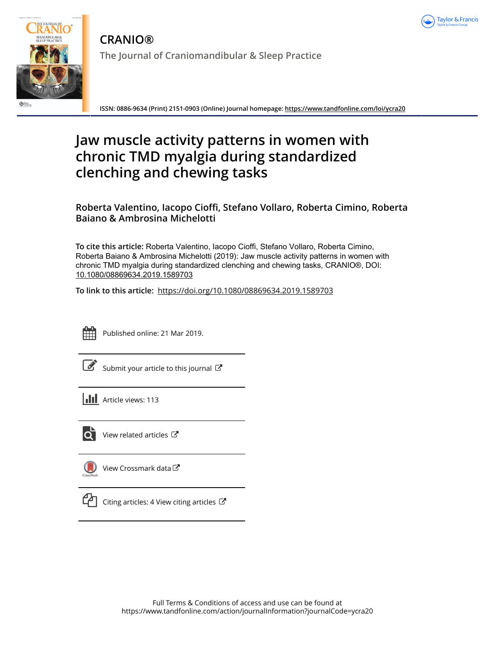



**CRANIO® The Journal of Craniomandibular & Sleep Practice**

**ISSN: 0886-9634 (Print) 2151-0903 (Online) Journal homepage:<https://www.tandfonline.com/loi/ycra20>**

# **Jaw muscle activity patterns in women with chronic TMD myalgia during standardized clenching and chewing tasks**

# **Roberta Valentino, Iacopo Cioffi, Stefano Vollaro, Roberta Cimino, Roberta Baiano & Ambrosina Michelotti**

**To cite this article:** Roberta Valentino, Iacopo Cioffi, Stefano Vollaro, Roberta Cimino, Roberta Baiano & Ambrosina Michelotti (2019): Jaw muscle activity patterns in women with chronic TMD myalgia during standardized clenching and chewing tasks, CRANIO®, DOI: [10.1080/08869634.2019.1589703](https://www.tandfonline.com/action/showCitFormats?doi=10.1080/08869634.2019.1589703)

**To link to this article:** <https://doi.org/10.1080/08869634.2019.1589703>



Published online: 21 Mar 2019.

Submit your article to this journal

**Article views: 113** 



[View related articles](https://www.tandfonline.com/doi/mlt/10.1080/08869634.2019.1589703)  $\mathbb{Z}$ 



[View Crossmark data](http://crossmark.crossref.org/dialog/?doi=10.1080/08869634.2019.1589703&domain=pdf&date_stamp=2019-03-21)<sup>C</sup>



[Citing articles: 4 View citing articles](https://www.tandfonline.com/doi/citedby/10.1080/08869634.2019.1589703#tabModule)  $\mathbb{Z}$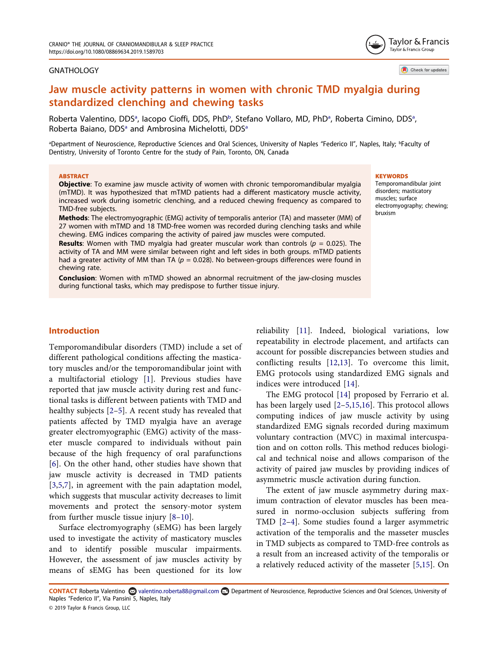#### **GNATHOLOGY**

Taylor & Francis Taylor & Francis Group

Check for updates

# Jaw muscle activity patterns in women with chronic TMD myalgia during standardized clenching and chewing tasks

Robert[a](#page-1-0) Valentino, DDS<sup>a</sup>, Iacopo Cioffi, DDS, PhD<sup>[b](#page-1-0)</sup>, Stefano Vollaro, MD, PhD<sup>a</sup>, Roberta Cimino, DDS<sup>a</sup>, Robert[a](#page-1-0) Baiano, DDS<sup>a</sup> and Ambrosina Michelotti, DDS<sup>a</sup>

<span id="page-1-0"></span><sup>a</sup>Department of Neuroscience, Reproductive Sciences and Oral Sciences, University of Naples "Federico II", Naples, Italy; <sup>b</sup>Faculty of Dentistry, University of Toronto Centre for the study of Pain, Toronto, ON, Canada

#### **ARSTRACT**

Objective: To examine jaw muscle activity of women with chronic temporomandibular myalgia (mTMD). It was hypothesized that mTMD patients had a different masticatory muscle activity, increased work during isometric clenching, and a reduced chewing frequency as compared to TMD-free subjects.

Methods: The electromyographic (EMG) activity of temporalis anterior (TA) and masseter (MM) of 27 women with mTMD and 18 TMD-free women was recorded during clenching tasks and while chewing. EMG indices comparing the activity of paired jaw muscles were computed.

**Results:** Women with TMD myalgia had greater muscular work than controls ( $p = 0.025$ ). The activity of TA and MM were similar between right and left sides in both groups. mTMD patients had a greater activity of MM than TA ( $p = 0.028$ ). No between-groups differences were found in chewing rate.

Conclusion: Women with mTMD showed an abnormal recruitment of the jaw-closing muscles during functional tasks, which may predispose to further tissue injury.

#### **KEYWORDS**

Temporomandibular joint disorders; masticatory muscles; surface electromyography; chewing; bruxism

# Introduction

<span id="page-1-1"></span>Temporomandibular disorders (TMD) include a set of different pathological conditions affecting the masticatory muscles and/or the temporomandibular joint with a multifactorial etiology [\[1](#page-6-0)]. Previous studies have reported that jaw muscle activity during rest and functional tasks is different between patients with TMD and healthy subjects [\[2](#page-6-1)–[5\]](#page-6-2). A recent study has revealed that patients affected by TMD myalgia have an average greater electromyographic (EMG) activity of the masseter muscle compared to individuals without pain because of the high frequency of oral parafunctions [[6\]](#page-6-3). On the other hand, other studies have shown that jaw muscle activity is decreased in TMD patients [[3,](#page-6-4)[5](#page-6-2),[7\]](#page-6-5), in agreement with the pain adaptation model, which suggests that muscular activity decreases to limit movements and protect the sensory-motor system from further muscle tissue injury [[8](#page-6-6)–[10](#page-6-7)].

<span id="page-1-6"></span><span id="page-1-5"></span><span id="page-1-3"></span>Surface electromyography (sEMG) has been largely used to investigate the activity of masticatory muscles and to identify possible muscular impairments. However, the assessment of jaw muscles activity by means of sEMG has been questioned for its low <span id="page-1-8"></span><span id="page-1-7"></span>reliability [\[11](#page-6-8)]. Indeed, biological variations, low repeatability in electrode placement, and artifacts can account for possible discrepancies between studies and conflicting results [\[12](#page-6-9),[13\]](#page-6-10). To overcome this limit, EMG protocols using standardized EMG signals and indices were introduced [[14](#page-6-11)].

<span id="page-1-10"></span><span id="page-1-9"></span>The EMG protocol [[14\]](#page-6-11) proposed by Ferrario et al. has been largely used [\[2](#page-6-1)–[5,](#page-6-2)[15](#page-6-12),[16\]](#page-6-13). This protocol allows computing indices of jaw muscle activity by using standardized EMG signals recorded during maximum voluntary contraction (MVC) in maximal intercuspation and on cotton rolls. This method reduces biological and technical noise and allows comparison of the activity of paired jaw muscles by providing indices of asymmetric muscle activation during function.

<span id="page-1-4"></span><span id="page-1-2"></span>The extent of jaw muscle asymmetry during maximum contraction of elevator muscles has been measured in normo-occlusion subjects suffering from TMD [\[2](#page-6-1)–[4\]](#page-6-14). Some studies found a larger asymmetric activation of the temporalis and the masseter muscles in TMD subjects as compared to TMD-free controls as a result from an increased activity of the temporalis or a relatively reduced activity of the masseter [[5](#page-6-2)[,15](#page-6-12)]. On

CONTACT Roberta Valentino **©** valentino.roberta88@gmail.com **D** Department of Neuroscience, Reproductive Sciences and Oral Sciences, University of Naples "Federico II", Via Pansini 5, Naples, Italy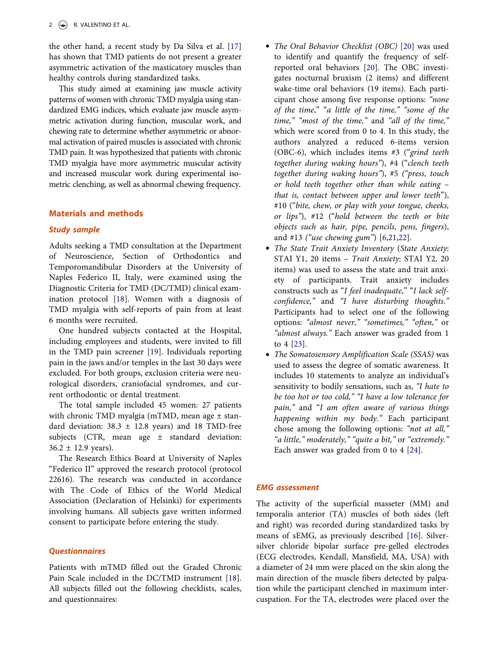<span id="page-2-0"></span>the other hand, a recent study by Da Silva et al. [[17](#page-6-15)] has shown that TMD patients do not present a greater asymmetric activation of the masticatory muscles than healthy controls during standardized tasks.

This study aimed at examining jaw muscle activity patterns of women with chronic TMD myalgia using standardized EMG indices, which evaluate jaw muscle asymmetric activation during function, muscular work, and chewing rate to determine whether asymmetric or abnormal activation of paired muscles is associated with chronic TMD pain. It was hypothesized that patients with chronic TMD myalgia have more asymmetric muscular activity and increased muscular work during experimental isometric clenching, as well as abnormal chewing frequency.

## Materials and methods

# Study sample

Adults seeking a TMD consultation at the Department of Neuroscience, Section of Orthodontics and Temporomandibular Disorders at the University of Naples Federico II, Italy, were examined using the Diagnostic Criteria for TMD (DC/TMD) clinical examination protocol [\[18](#page-6-16)]. Women with a diagnosis of TMD myalgia with self-reports of pain from at least 6 months were recruited.

<span id="page-2-2"></span>One hundred subjects contacted at the Hospital, including employees and students, were invited to fill in the TMD pain screener [[19\]](#page-6-17). Individuals reporting pain in the jaws and/or temples in the last 30 days were excluded. For both groups, exclusion criteria were neurological disorders, craniofacial syndromes, and current orthodontic or dental treatment.

The total sample included 45 women: 27 patients with chronic TMD myalgia (mTMD, mean age  $\pm$  standard deviation:  $38.3 \pm 12.8$  years) and 18 TMD-free subjects (CTR, mean age  $\pm$  standard deviation:  $36.2 \pm 12.9$  years).

The Research Ethics Board at University of Naples "Federico II" approved the research protocol (protocol 22616). The research was conducted in accordance with The Code of Ethics of the World Medical Association (Declaration of Helsinki) for experiments involving humans. All subjects gave written informed consent to participate before entering the study.

# **Questionnaires**

<span id="page-2-1"></span>Patients with mTMD filled out the Graded Chronic Pain Scale included in the DC/TMD instrument [[18\]](#page-6-16). All subjects filled out the following checklists, scales, and questionnaires:

- <span id="page-2-3"></span>• The Oral Behavior Checklist (OBC) [[20\]](#page-6-18) was used to identify and quantify the frequency of selfreported oral behaviors [[20\]](#page-6-18). The OBC investigates nocturnal bruxism (2 items) and different wake-time oral behaviors (19 items). Each participant chose among five response options: "none of the time," "a little of the time," "some of the time," "most of the time," and "all of the time," which were scored from 0 to 4. In this study, the authors analyzed a reduced 6-items version (OBC-6), which includes items #3 ("grind teeth together during waking hours"), #4 ("clench teeth together during waking hours"), #5 ("press, touch or hold teeth together other than while eating – that is, contact between upper and lower teeth"), #10 ("bite, chew, or play with your tongue, cheeks, or lips"), #12 ("hold between the teeth or bite objects such as hair, pipe, pencils, pens, fingers), and #13 ("use chewing gum") [[6](#page-6-3)[,21](#page-6-19),[22\]](#page-6-20).
- <span id="page-2-4"></span>• The State Trait Anxiety Inventory (State Anxiety: STAI Y1, 20 items – Trait Anxiety: STAI Y2, 20 items) was used to assess the state and trait anxiety of participants. Trait anxiety includes constructs such as "I feel inadequate," "I lack selfconfidence," and "I have disturbing thoughts." Participants had to select one of the following options: "almost never," "sometimes," "often," or "almost always." Each answer was graded from 1 to 4 [[23\]](#page-6-21).
- <span id="page-2-5"></span>• The Somatosensory Amplification Scale (SSAS) was used to assess the degree of somatic awareness. It includes 10 statements to analyze an individual's sensitivity to bodily sensations, such as, "I hate to be too hot or too cold," "I have a low tolerance for pain," and "I am often aware of various things happening within my body." Each participant chose among the following options: "not at all," "a little," moderately," "quite a bit," or "extremely." Each answer was graded from 0 to 4 [[24\]](#page-7-0).

#### <span id="page-2-6"></span>EMG assessment

The activity of the superficial masseter (MM) and temporalis anterior (TA) muscles of both sides (left and right) was recorded during standardized tasks by means of sEMG, as previously described [[16\]](#page-6-13). Silversilver chloride bipolar surface pre-gelled electrodes (ECG electrodes, Kendall, Mansfield, MA, USA) with a diameter of 24 mm were placed on the skin along the main direction of the muscle fibers detected by palpation while the participant clenched in maximum intercuspation. For the TA, electrodes were placed over the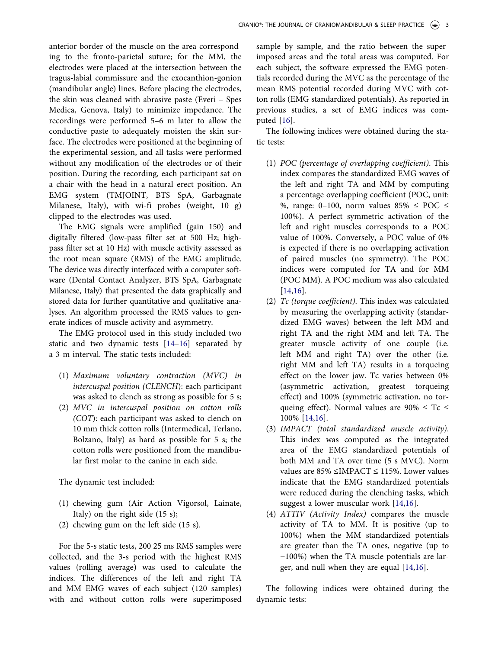anterior border of the muscle on the area corresponding to the fronto-parietal suture; for the MM, the electrodes were placed at the intersection between the tragus-labial commissure and the exocanthion-gonion (mandibular angle) lines. Before placing the electrodes, the skin was cleaned with abrasive paste (Everi – Spes Medica, Genova, Italy) to minimize impedance. The recordings were performed 5–6 m later to allow the conductive paste to adequately moisten the skin surface. The electrodes were positioned at the beginning of the experimental session, and all tasks were performed without any modification of the electrodes or of their position. During the recording, each participant sat on a chair with the head in a natural erect position. An EMG system (TMJOINT, BTS SpA, Garbagnate Milanese, Italy), with wi-fi probes (weight, 10 g) clipped to the electrodes was used.

The EMG signals were amplified (gain 150) and digitally filtered (low-pass filter set at 500 Hz; highpass filter set at 10 Hz) with muscle activity assessed as the root mean square (RMS) of the EMG amplitude. The device was directly interfaced with a computer software (Dental Contact Analyzer, BTS SpA, Garbagnate Milanese, Italy) that presented the data graphically and stored data for further quantitative and qualitative analyses. An algorithm processed the RMS values to generate indices of muscle activity and asymmetry.

The EMG protocol used in this study included two static and two dynamic tests [[14](#page-6-11)–[16](#page-6-13)] separated by a 3-m interval. The static tests included:

- (1) Maximum voluntary contraction (MVC) in intercuspal position (CLENCH): each participant was asked to clench as strong as possible for 5 s;
- (2) MVC in intercuspal position on cotton rolls (COT): each participant was asked to clench on 10 mm thick cotton rolls (Intermedical, Terlano, Bolzano, Italy) as hard as possible for 5 s; the cotton rolls were positioned from the mandibular first molar to the canine in each side.

The dynamic test included:

- (1) chewing gum (Air Action Vigorsol, Lainate, Italy) on the right side (15 s);
- (2) chewing gum on the left side (15 s).

For the 5-s static tests, 200 25 ms RMS samples were collected, and the 3-s period with the highest RMS values (rolling average) was used to calculate the indices. The differences of the left and right TA and MM EMG waves of each subject (120 samples) with and without cotton rolls were superimposed sample by sample, and the ratio between the superimposed areas and the total areas was computed. For each subject, the software expressed the EMG potentials recorded during the MVC as the percentage of the mean RMS potential recorded during MVC with cotton rolls (EMG standardized potentials). As reported in previous studies, a set of EMG indices was computed [\[16](#page-6-13)].

The following indices were obtained during the static tests:

- (1) POC (percentage of overlapping coefficient). This index compares the standardized EMG waves of the left and right TA and MM by computing a percentage overlapping coefficient (POC, unit: %, range: 0-100, norm values  $85\% \leq POC \leq$ 100%). A perfect symmetric activation of the left and right muscles corresponds to a POC value of 100%. Conversely, a POC value of 0% is expected if there is no overlapping activation of paired muscles (no symmetry). The POC indices were computed for TA and for MM (POC MM). A POC medium was also calculated [[14,](#page-6-11)[16](#page-6-13)].
- (2) Tc (torque coefficient). This index was calculated by measuring the overlapping activity (standardized EMG waves) between the left MM and right TA and the right MM and left TA. The greater muscle activity of one couple (i.e. left MM and right TA) over the other (i.e. right MM and left TA) results in a torqueing effect on the lower jaw. Tc varies between 0% (asymmetric activation, greatest torqueing effect) and 100% (symmetric activation, no torqueing effect). Normal values are  $90\% \leq Tc \leq$ 100% [\[14](#page-6-11),[16\]](#page-6-13).
- (3) IMPACT (total standardized muscle activity). This index was computed as the integrated area of the EMG standardized potentials of both MM and TA over time (5 s MVC). Norm values are 85% ≤IMPACT ≤ 115%. Lower values indicate that the EMG standardized potentials were reduced during the clenching tasks, which suggest a lower muscular work [[14,](#page-6-11)[16](#page-6-13)].
- (4) ATTIV (Activity Index) compares the muscle activity of TA to MM. It is positive (up to 100%) when the MM standardized potentials are greater than the TA ones, negative (up to −100%) when the TA muscle potentials are larger, and null when they are equal [[14](#page-6-11)[,16](#page-6-13)].

The following indices were obtained during the dynamic tests: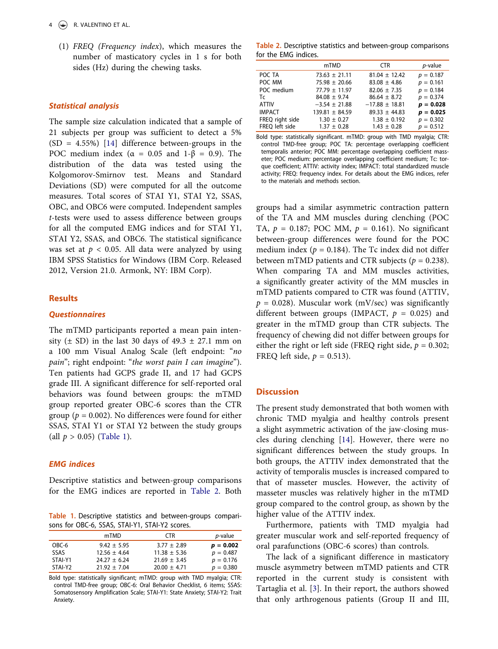(1) FREQ (Frequency index), which measures the number of masticatory cycles in 1 s for both sides (Hz) during the chewing tasks.

#### Statistical analysis

The sample size calculation indicated that a sample of 21 subjects per group was sufficient to detect a 5%  $(SD = 4.55\%)$  [\[14](#page-6-11)] difference between-groups in the POC medium index ( $\alpha = 0.05$  and  $1-\beta = 0.9$ ). The distribution of the data was tested using the Kolgomorov-Smirnov test. Means and Standard Deviations (SD) were computed for all the outcome measures. Total scores of STAI Y1, STAI Y2, SSAS, OBC, and OBC6 were computed. Independent samples t-tests were used to assess difference between groups for all the computed EMG indices and for STAI Y1, STAI Y2, SSAS, and OBC6. The statistical significance was set at  $p < 0.05$ . All data were analyzed by using IBM SPSS Statistics for Windows (IBM Corp. Released 2012, Version 21.0. Armonk, NY: IBM Corp).

# **Results**

#### **Ouestionnaires**

The mTMD participants reported a mean pain intensity ( $\pm$  SD) in the last 30 days of 49.3  $\pm$  27.1 mm on a 100 mm Visual Analog Scale (left endpoint: "no pain"; right endpoint: "the worst pain I can imagine"). Ten patients had GCPS grade II, and 17 had GCPS grade III. A significant difference for self-reported oral behaviors was found between groups: the mTMD group reported greater OBC-6 scores than the CTR group ( $p = 0.002$ ). No differences were found for either SSAS, STAI Y1 or STAI Y2 between the study groups (all  $p > 0.05$ ) [\(Table 1](#page-4-0)).

# EMG indices

Descriptive statistics and between-group comparisons for the EMG indices are reported in [Table 2.](#page-4-1) Both

<span id="page-4-0"></span>Table 1. Descriptive statistics and between-groups comparisons for OBC-6, SSAS, STAI-Y1, STAI-Y2 scores.

|         | mTMD             | CTR.             | <i>p</i> -value |
|---------|------------------|------------------|-----------------|
| OBC-6   | $9.42 \pm 5.95$  | $3.77 \pm 2.89$  | $p = 0.002$     |
| SSAS    | $12.56 \pm 4.64$ | $11.38 \pm 5.36$ | $p = 0.487$     |
| STAI-Y1 | $24.27 \pm 6.24$ | $21.69 \pm 3.45$ | $p = 0.176$     |
| STAI-Y2 | $21.92 \pm 7.04$ | $20.00 \pm 4.71$ | $p = 0.380$     |

Bold type: statistically significant; mTMD: group with TMD myalgia; CTR: control TMD-free group; OBC-6: Oral Behavior Checklist, 6 items; SSAS: Somatosensory Amplification Scale; STAI-Y1: State Anxiety; STAI-Y2: Trait Anxiety.

<span id="page-4-1"></span>Table 2. Descriptive statistics and between-group comparisons for the EMG indices.

| mTMD               | <b>CTR</b>         | <i>p</i> -value |
|--------------------|--------------------|-----------------|
| $73.63 \pm 21.11$  | $81.04 \pm 12.42$  | $p = 0.187$     |
| $75.98 \pm 20.66$  | $83.08 \pm 4.86$   | $p = 0.161$     |
| $77.79 \pm 11.97$  | $82.06 \pm 7.35$   | $p = 0.184$     |
| $84.08 \pm 9.74$   | $86.64 \pm 8.72$   | $p = 0.374$     |
| $-3.54 \pm 21.88$  | $-17.88 \pm 18.81$ | $p = 0.028$     |
| $139.81 \pm 84.59$ | $89.33 \pm 44.83$  | $p = 0.025$     |
| $1.30 \pm 0.27$    | $1.38 \pm 0.192$   | $p = 0.302$     |
| $1.37 \pm 0.28$    | $1.43 \pm 0.28$    | $p = 0.512$     |
|                    |                    |                 |

Bold type: statistically significant. mTMD: group with TMD myalgia; CTR: control TMD-free group; POC TA: percentage overlapping coefficient temporalis anterior; POC MM: percentage overlapping coefficient masseter; POC medium: percentage overlapping coefficient medium; Tc: torque coefficient; ATTIV: activity index; IMPACT: total standardized muscle activity; FREQ: frequency index. For details about the EMG indices, refer to the materials and methods section.

groups had a similar asymmetric contraction pattern of the TA and MM muscles during clenching (POC TA,  $p = 0.187$ ; POC MM,  $p = 0.161$ ). No significant between-group differences were found for the POC medium index ( $p = 0.184$ ). The Tc index did not differ between mTMD patients and CTR subjects ( $p = 0.238$ ). When comparing TA and MM muscles activities, a significantly greater activity of the MM muscles in mTMD patients compared to CTR was found (ATTIV,  $p = 0.028$ ). Muscular work (mV/sec) was significantly different between groups (IMPACT,  $p = 0.025$ ) and greater in the mTMD group than CTR subjects. The frequency of chewing did not differ between groups for either the right or left side (FREQ right side,  $p = 0.302$ ; FREQ left side,  $p = 0.513$ ).

#### **Discussion**

The present study demonstrated that both women with chronic TMD myalgia and healthy controls present a slight asymmetric activation of the jaw-closing muscles during clenching [\[14](#page-6-11)]. However, there were no significant differences between the study groups. In both groups, the ATTIV index demonstrated that the activity of temporalis muscles is increased compared to that of masseter muscles. However, the activity of masseter muscles was relatively higher in the mTMD group compared to the control group, as shown by the higher value of the ATTIV index.

Furthermore, patients with TMD myalgia had greater muscular work and self-reported frequency of oral parafunctions (OBC-6 scores) than controls.

The lack of a significant difference in masticatory muscle asymmetry between mTMD patients and CTR reported in the current study is consistent with Tartaglia et al. [[3\]](#page-6-4). In their report, the authors showed that only arthrogenous patients (Group II and III,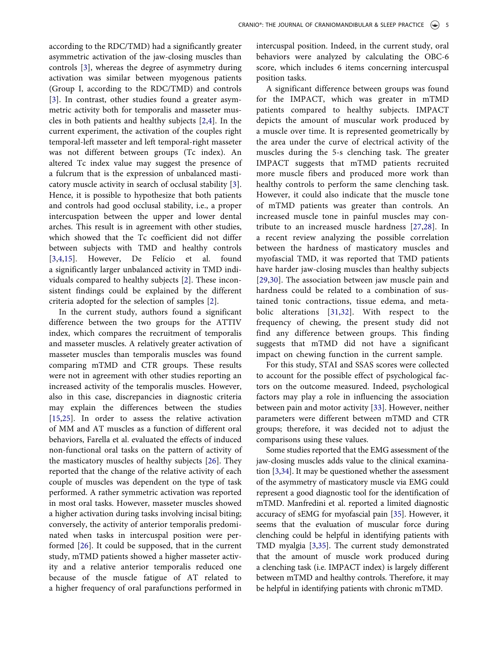according to the RDC/TMD) had a significantly greater asymmetric activation of the jaw-closing muscles than controls [\[3](#page-6-4)], whereas the degree of asymmetry during activation was similar between myogenous patients (Group I, according to the RDC/TMD) and controls [[3\]](#page-6-4). In contrast, other studies found a greater asymmetric activity both for temporalis and masseter muscles in both patients and healthy subjects [\[2](#page-6-1),[4\]](#page-6-14). In the current experiment, the activation of the couples right temporal-left masseter and left temporal-right masseter was not different between groups (Tc index). An altered Tc index value may suggest the presence of a fulcrum that is the expression of unbalanced masticatory muscle activity in search of occlusal stability [[3\]](#page-6-4). Hence, it is possible to hypothesize that both patients and controls had good occlusal stability, i.e., a proper intercuspation between the upper and lower dental arches. This result is in agreement with other studies, which showed that the Tc coefficient did not differ between subjects with TMD and healthy controls [[3,](#page-6-4)[4](#page-6-14),[15\]](#page-6-12). However, De Felício et al. found a significantly larger unbalanced activity in TMD individuals compared to healthy subjects [\[2](#page-6-1)]. These inconsistent findings could be explained by the different criteria adopted for the selection of samples [[2\]](#page-6-1).

<span id="page-5-0"></span>In the current study, authors found a significant difference between the two groups for the ATTIV index, which compares the recruitment of temporalis and masseter muscles. A relatively greater activation of masseter muscles than temporalis muscles was found comparing mTMD and CTR groups. These results were not in agreement with other studies reporting an increased activity of the temporalis muscles. However, also in this case, discrepancies in diagnostic criteria may explain the differences between the studies [[15,](#page-6-12)[25](#page-7-1)]. In order to assess the relative activation of MM and AT muscles as a function of different oral behaviors, Farella et al. evaluated the effects of induced non-functional oral tasks on the pattern of activity of the masticatory muscles of healthy subjects [[26\]](#page-7-2). They reported that the change of the relative activity of each couple of muscles was dependent on the type of task performed. A rather symmetric activation was reported in most oral tasks. However, masseter muscles showed a higher activation during tasks involving incisal biting; conversely, the activity of anterior temporalis predominated when tasks in intercuspal position were performed [\[26](#page-7-2)]. It could be supposed, that in the current study, mTMD patients showed a higher masseter activity and a relative anterior temporalis reduced one because of the muscle fatigue of AT related to a higher frequency of oral parafunctions performed in

intercuspal position. Indeed, in the current study, oral behaviors were analyzed by calculating the OBC-6 score, which includes 6 items concerning intercuspal position tasks.

<span id="page-5-2"></span>A significant difference between groups was found for the IMPACT, which was greater in mTMD patients compared to healthy subjects. IMPACT depicts the amount of muscular work produced by a muscle over time. It is represented geometrically by the area under the curve of electrical activity of the muscles during the 5-s clenching task. The greater IMPACT suggests that mTMD patients recruited more muscle fibers and produced more work than healthy controls to perform the same clenching task. However, it could also indicate that the muscle tone of mTMD patients was greater than controls. An increased muscle tone in painful muscles may contribute to an increased muscle hardness [[27](#page-7-3)[,28\]](#page-7-4). In a recent review analyzing the possible correlation between the hardness of masticatory muscles and myofascial TMD, it was reported that TMD patients have harder jaw-closing muscles than healthy subjects [\[29,](#page-7-5)[30](#page-7-6)]. The association between jaw muscle pain and hardness could be related to a combination of sustained tonic contractions, tissue edema, and metabolic alterations [\[31,](#page-7-7)[32](#page-7-8)]. With respect to the frequency of chewing, the present study did not find any difference between groups. This finding suggests that mTMD did not have a significant impact on chewing function in the current sample.

<span id="page-5-5"></span><span id="page-5-4"></span><span id="page-5-3"></span>For this study, STAI and SSAS scores were collected to account for the possible effect of psychological factors on the outcome measured. Indeed, psychological factors may play a role in influencing the association between pain and motor activity [\[33](#page-7-9)]. However, neither parameters were different between mTMD and CTR groups; therefore, it was decided not to adjust the comparisons using these values.

<span id="page-5-7"></span><span id="page-5-6"></span><span id="page-5-1"></span>Some studies reported that the EMG assessment of the jaw-closing muscles adds value to the clinical examination [[3,](#page-6-4)[34\]](#page-7-10). It may be questioned whether the assessment of the asymmetry of masticatory muscle via EMG could represent a good diagnostic tool for the identification of mTMD. Manfredini et al. reported a limited diagnostic accuracy of sEMG for myofascial pain [\[35](#page-7-11)]. However, it seems that the evaluation of muscular force during clenching could be helpful in identifying patients with TMD myalgia [[3,](#page-6-4)[35\]](#page-7-11). The current study demonstrated that the amount of muscle work produced during a clenching task (i.e. IMPACT index) is largely different between mTMD and healthy controls. Therefore, it may be helpful in identifying patients with chronic mTMD.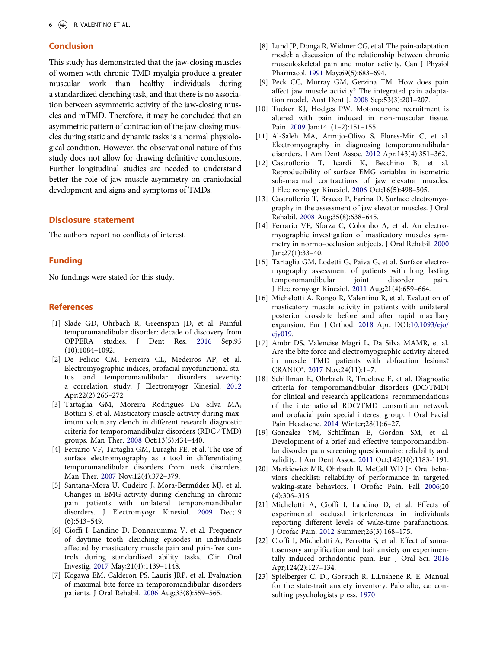# Conclusion

This study has demonstrated that the jaw-closing muscles of women with chronic TMD myalgia produce a greater muscular work than healthy individuals during a standardized clenching task, and that there is no association between asymmetric activity of the jaw-closing muscles and mTMD. Therefore, it may be concluded that an asymmetric pattern of contraction of the jaw-closing muscles during static and dynamic tasks is a normal physiological condition. However, the observational nature of this study does not allow for drawing definitive conclusions. Further longitudinal studies are needed to understand better the role of jaw muscle asymmetry on craniofacial development and signs and symptoms of TMDs.

# Disclosure statement

The authors report no conflicts of interest.

## Funding

No fundings were stated for this study.

### **References**

- <span id="page-6-0"></span>[1] Slade GD, Ohrbach R, Greenspan JD, et al. Painful temporomandibular disorder: decade of discovery from OPPERA studies. J Dent Res. [2016](#page-1-1) Sep;95 (10):1084–1092.
- <span id="page-6-1"></span>[2] De Felício CM, Ferreira CL, Medeiros AP, et al. Electromyographic indices, orofacial myofunctional status and temporomandibular disorders severity: a correlation study. J Electromyogr Kinesiol. [2012](#page-1-2) Apr;22(2):266–272.
- <span id="page-6-4"></span>[3] Tartaglia GM, Moreira Rodrigues Da Silva MA, Bottini S, et al. Masticatory muscle activity during maximum voluntary clench in different research diagnostic criteria for temporomandibular disorders (RDC ⁄ TMD) groups. Man Ther. [2008](#page-1-3) Oct;13(5):434–440.
- <span id="page-6-14"></span>[4] Ferrario VF, Tartaglia GM, Luraghi FE, et al. The use of surface electromyography as a tool in differentiating temporomandibular disorders from neck disorders. Man Ther. [2007](#page-1-2) Nov;12(4):372–379.
- <span id="page-6-2"></span>[5] Santana-Mora U, Cudeiro J, Mora-Bermúdez MJ, et al. Changes in EMG activity during clenching in chronic pain patients with unilateral temporomandibular disorders. J Electromyogr Kinesiol. [2009](#page-1-4) Dec;19 (6):543–549.
- <span id="page-6-3"></span>[6] Cioffi I, Landino D, Donnarumma V, et al. Frequency of daytime tooth clenching episodes in individuals affected by masticatory muscle pain and pain-free controls during standardized ability tasks. Clin Oral Investig. [2017](#page-1-5) May;21(4):1139–1148.
- <span id="page-6-5"></span>[7] Kogawa EM, Calderon PS, Lauris JRP, et al. Evaluation of maximal bite force in temporomandibular disorders patients. J Oral Rehabil. [2006](#page-1-3) Aug;33(8):559–565.
- <span id="page-6-6"></span>[8] Lund JP, Donga R, Widmer CG, et al. The pain-adaptation model: a discussion of the relationship between chronic musculoskeletal pain and motor activity. Can J Physiol Pharmacol. [1991](#page-1-6) May;69(5):683–694.
- [9] Peck CC, Murray GM, Gerzina TM. How does pain affect jaw muscle activity? The integrated pain adaptation model. Aust Dent J. 2008 Sep;53(3):201–207.
- <span id="page-6-7"></span>[10] Tucker KJ, Hodges PW. Motoneurone recruitment is altered with pain induced in non-muscular tissue. Pain. [2009](#page-1-6) Jan;141(1–2):151–155.
- <span id="page-6-8"></span>[11] Al-Saleh MA, Armijo-Olivo S, Flores-Mir C, et al. Electromyography in diagnosing temporomandibular disorders. J Am Dent Assoc. [2012](#page-1-7) Apr;143(4):351–362.
- <span id="page-6-9"></span>[12] Castroflorio T, Icardi K, Becchino B, et al. Reproducibility of surface EMG variables in isometric sub-maximal contractions of jaw elevator muscles. J Electromyogr Kinesiol. [2006](#page-1-8) Oct;16(5):498–505.
- <span id="page-6-10"></span>[13] Castroflorio T, Bracco P, Farina D. Surface electromyography in the assessment of jaw elevator muscles. J Oral Rehabil. [2008](#page-1-8) Aug;35(8):638–645.
- <span id="page-6-11"></span>[14] Ferrario VF, Sforza C, Colombo A, et al. An electromyographic investigation of masticatory muscles symmetry in normo-occlusion subjects. J Oral Rehabil. [2000](#page-1-9) Jan;27(1):33–40.
- <span id="page-6-12"></span>[15] Tartaglia GM, Lodetti G, Paiva G, et al. Surface electromyography assessment of patients with long lasting temporomandibular joint disorder pain. J Electromyogr Kinesiol. [2011](#page-1-4) Aug;21(4):659–664.
- <span id="page-6-13"></span>[16] Michelotti A, Rongo R, Valentino R, et al. Evaluation of masticatory muscle activity in patients with unilateral posterior crossbite before and after rapid maxillary expansion. Eur J Orthod. [2018](#page-1-10) Apr. DOI:[10.1093/ejo/](https://doi.org/10.1093/ejo/cjy019) [cjy019](https://doi.org/10.1093/ejo/cjy019).
- <span id="page-6-15"></span>[17] Ambr DS, Valencise Magri L, Da Silva MAMR, et al. Are the bite force and electromyographic activity altered in muscle TMD patients with abfraction lesions? CRANIO®. [2017](#page-2-0) Nov;24(11):1–7.
- <span id="page-6-16"></span>[18] Schiffman E, Ohrbach R, Truelove E, et al. Diagnostic criteria for temporomandibular disorders (DC/TMD) for clinical and research applications: recommendations of the international RDC/TMD consortium network and orofacial pain special interest group. J Oral Facial Pain Headache. [2014](#page-2-1) Winter;28(1):6–27.
- <span id="page-6-17"></span>[19] Gonzalez YM, Schiffman E, Gordon SM, et al. Development of a brief and effective temporomandibular disorder pain screening questionnaire: reliability and validity. J Am Dent Assoc. [2011](#page-2-2) Oct;142(10):1183-1191.
- <span id="page-6-18"></span>[20] Markiewicz MR, Ohrbach R, McCall WD Jr. Oral behaviors checklist: reliability of performance in targeted waking-state behaviors. J Orofac Pain. Fall [2006](#page-2-3);20 (4):306–316.
- <span id="page-6-19"></span>[21] Michelotti A, Cioffi I, Landino D, et al. Effects of experimental occlusal interferences in individuals reporting different levels of wake-time parafunctions. J Orofac Pain. [2012](#page-2-4) Summer;26(3):168–175.
- <span id="page-6-20"></span>[22] Cioffi I, Michelotti A, Perrotta S, et al. Effect of somatosensory amplification and trait anxiety on experimentally induced orthodontic pain. Eur J Oral Sci. [2016](#page-2-4) Apr;124(2):127–134.
- <span id="page-6-21"></span>[23] Spielberger C. D., Gorsuch R. L.Lushene R. E. Manual for the state-trait anxiety inventory. Palo alto, ca: consulting psychologists press. [1970](#page-2-5)